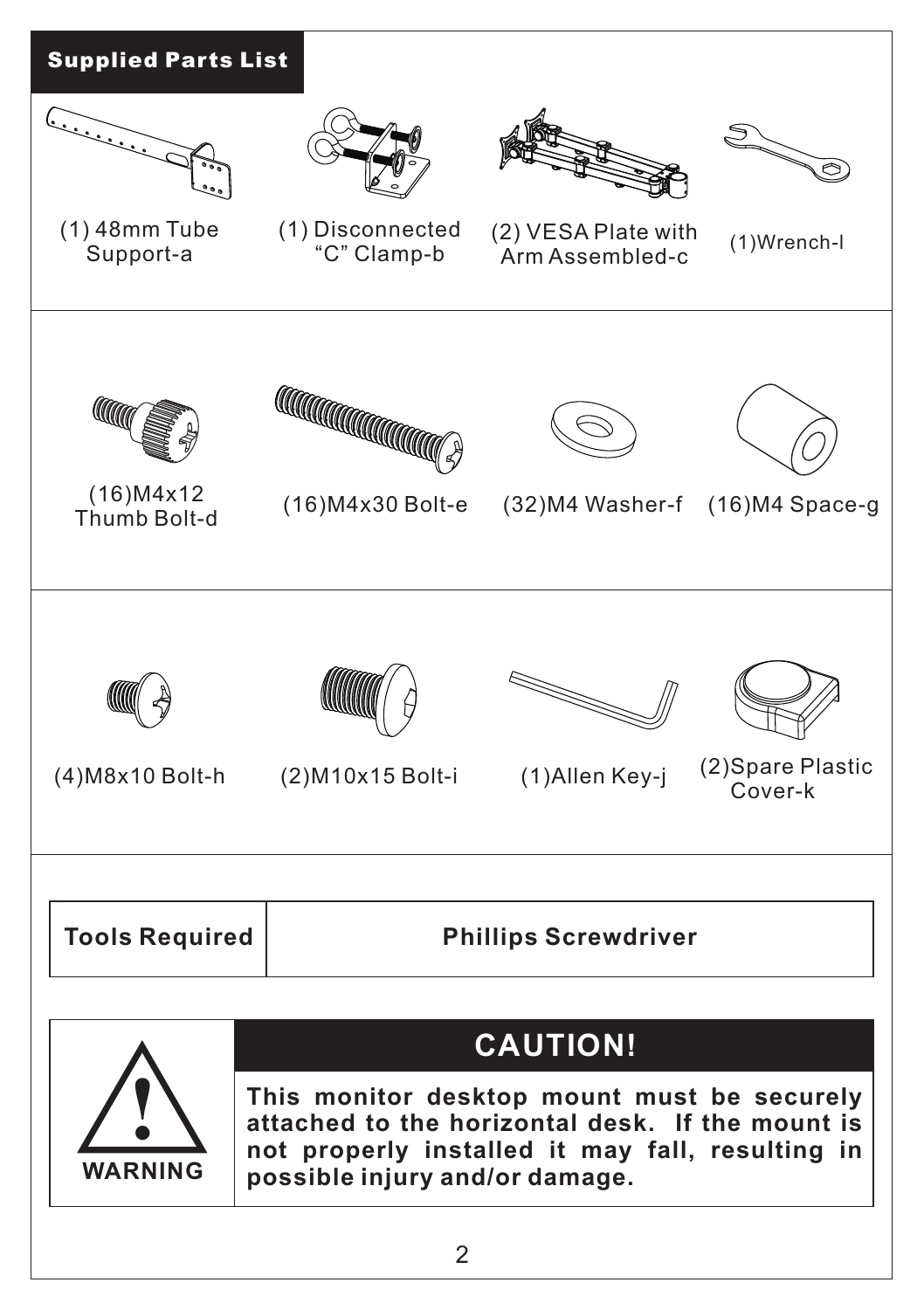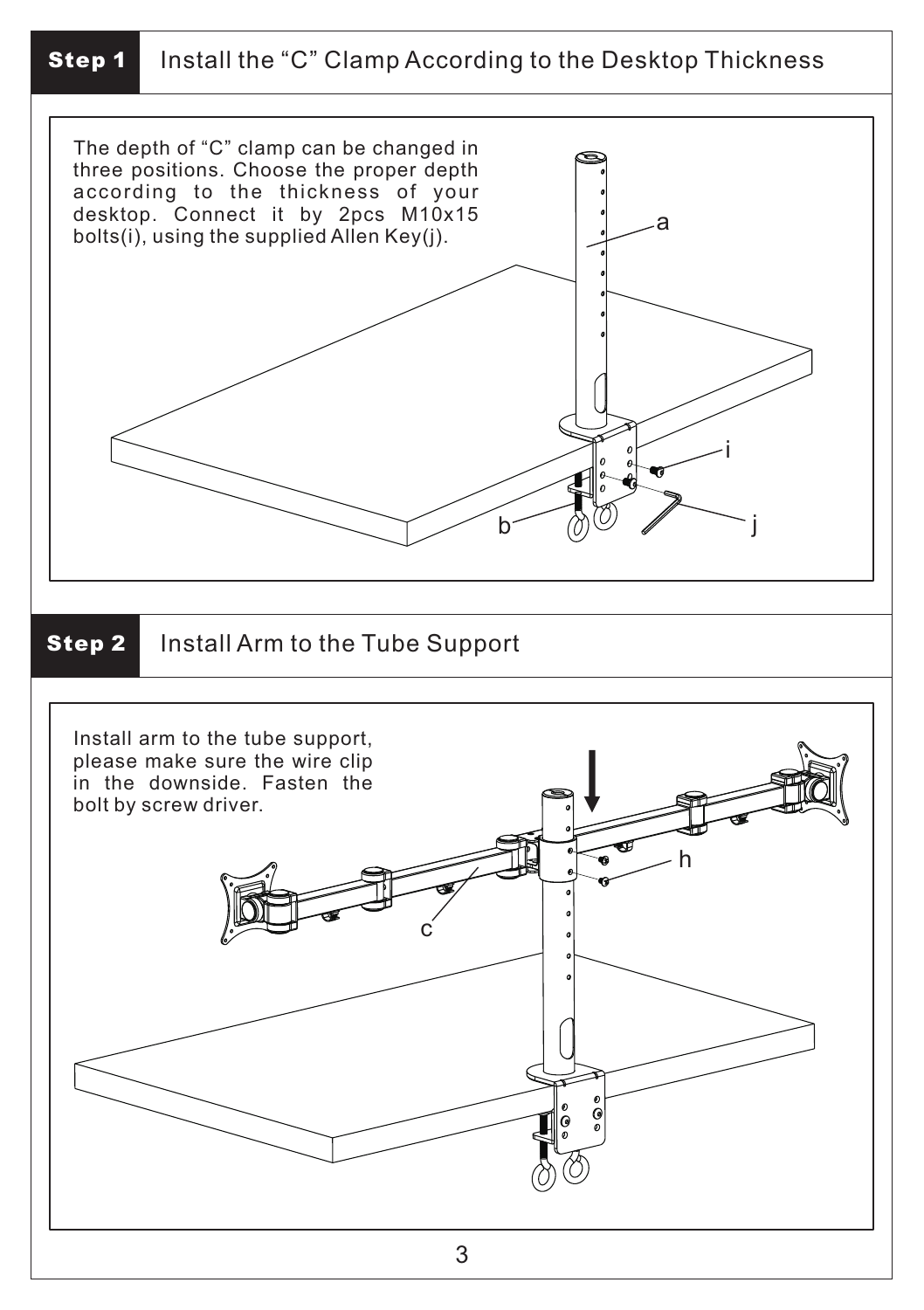## **Step 1** Install the "C" Clamp According to the Desktop Thickness